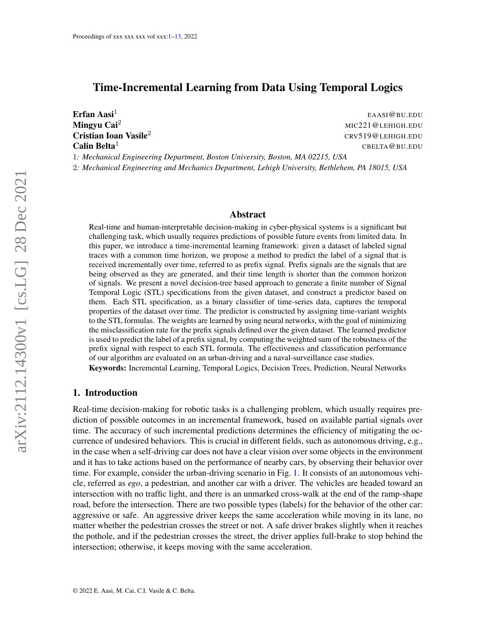# <span id="page-0-0"></span>Time-Incremental Learning from Data Using Temporal Logics

Erfan Aasi $<sup>1</sup>$ </sup> **Calin Belta**<sup>1</sup> CBELTA **CBELTA** CBELTA **CBELTA** CBELTA **CBELTA** CBELTA **CBELTA** CBELTA **CBELTA** CBELTA

EAASI@BU.EDU Mingyu Cai<sup>2</sup> MIC221@LEHIGH.EDU **Cristian Ioan Vasile<sup>2</sup>** CRV519@LEHIGH.EDU

1*: Mechanical Engineering Department, Boston University, Boston, MA 02215, USA* 2*: Mechanical Engineering and Mechanics Department, Lehigh University, Bethlehem, PA 18015, USA*

### Abstract

Real-time and human-interpretable decision-making in cyber-physical systems is a significant but challenging task, which usually requires predictions of possible future events from limited data. In this paper, we introduce a time-incremental learning framework: given a dataset of labeled signal traces with a common time horizon, we propose a method to predict the label of a signal that is received incrementally over time, referred to as prefix signal. Prefix signals are the signals that are being observed as they are generated, and their time length is shorter than the common horizon of signals. We present a novel decision-tree based approach to generate a finite number of Signal Temporal Logic (STL) specifications from the given dataset, and construct a predictor based on them. Each STL specification, as a binary classifier of time-series data, captures the temporal properties of the dataset over time. The predictor is constructed by assigning time-variant weights to the STL formulas. The weights are learned by using neural networks, with the goal of minimizing the misclassification rate for the prefix signals defined over the given dataset. The learned predictor is used to predict the label of a prefix signal, by computing the weighted sum of the robustness of the prefix signal with respect to each STL formula. The effectiveness and classification performance of our algorithm are evaluated on an urban-driving and a naval-surveillance case studies.

Keywords: Incremental Learning, Temporal Logics, Decision Trees, Prediction, Neural Networks

## <span id="page-0-1"></span>1. Introduction

Real-time decision-making for robotic tasks is a challenging problem, which usually requires prediction of possible outcomes in an incremental framework, based on available partial signals over time. The accuracy of such incremental predictions determines the efficiency of mitigating the occurrence of undesired behaviors. This is crucial in different fields, such as autonomous driving, e.g., in the case when a self-driving car does not have a clear vision over some objects in the environment and it has to take actions based on the performance of nearby cars, by observing their behavior over time. For example, consider the urban-driving scenario in Fig. [1.](#page-1-0) It consists of an autonomous vehicle, referred as *ego*, a pedestrian, and another car with a driver. The vehicles are headed toward an intersection with no traffic light, and there is an unmarked cross-walk at the end of the ramp-shape road, before the intersection. There are two possible types (labels) for the behavior of the other car: aggressive or safe. An aggressive driver keeps the same acceleration while moving in its lane, no matter whether the pedestrian crosses the street or not. A safe driver brakes slightly when it reaches the pothole, and if the pedestrian crosses the street, the driver applies full-brake to stop behind the intersection; otherwise, it keeps moving with the same acceleration.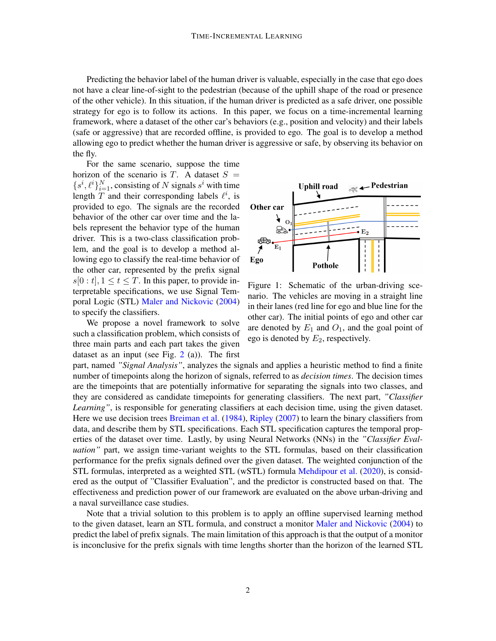Predicting the behavior label of the human driver is valuable, especially in the case that ego does not have a clear line-of-sight to the pedestrian (because of the uphill shape of the road or presence of the other vehicle). In this situation, if the human driver is predicted as a safe driver, one possible strategy for ego is to follow its actions. In this paper, we focus on a time-incremental learning framework, where a dataset of the other car's behaviors (e.g., position and velocity) and their labels (safe or aggressive) that are recorded offline, is provided to ego. The goal is to develop a method allowing ego to predict whether the human driver is aggressive or safe, by observing its behavior on the fly.

For the same scenario, suppose the time horizon of the scenario is T. A dataset  $S =$  ${s<sup>i</sup>, \ell<sup>i</sup>}_{i=1}^N$ , consisting of N signals  $s<sup>i</sup>$  with time length  $T$  and their corresponding labels  $\ell^i$ , is provided to ego. The signals are the recorded behavior of the other car over time and the labels represent the behavior type of the human driver. This is a two-class classification problem, and the goal is to develop a method allowing ego to classify the real-time behavior of the other car, represented by the prefix signal  $s[0 : t]$ ,  $1 \le t \le T$ . In this paper, to provide interpretable specifications, we use Signal Temporal Logic (STL) [Maler and Nickovic](#page-11-0) [\(2004\)](#page-11-0) to specify the classifiers.

We propose a novel framework to solve such a classification problem, which consists of three main parts and each part takes the given dataset as an input (see Fig.  $2$  (a)). The first

<span id="page-1-0"></span>

Figure 1: Schematic of the urban-driving scenario. The vehicles are moving in a straight line in their lanes (red line for ego and blue line for the other car). The initial points of ego and other car are denoted by  $E_1$  and  $O_1$ , and the goal point of ego is denoted by  $E_2$ , respectively.

part, named *"Signal Analysis"*, analyzes the signals and applies a heuristic method to find a finite number of timepoints along the horizon of signals, referred to as *decision times*. The decision times are the timepoints that are potentially informative for separating the signals into two classes, and they are considered as candidate timepoints for generating classifiers. The next part, *"Classifier Learning*", is responsible for generating classifiers at each decision time, using the given dataset. Here we use decision trees [Breiman et al.](#page-10-0) [\(1984\)](#page-10-0), [Ripley](#page-11-1) [\(2007\)](#page-11-1) to learn the binary classifiers from data, and describe them by STL specifications. Each STL specification captures the temporal properties of the dataset over time. Lastly, by using Neural Networks (NNs) in the *"Classifier Evaluation"* part, we assign time-variant weights to the STL formulas, based on their classification performance for the prefix signals defined over the given dataset. The weighted conjunction of the STL formulas, interpreted as a weighted STL (wSTL) formula [Mehdipour et al.](#page-11-2) [\(2020\)](#page-11-2), is considered as the output of "Classifier Evaluation", and the predictor is constructed based on that. The effectiveness and prediction power of our framework are evaluated on the above urban-driving and a naval surveillance case studies.

Note that a trivial solution to this problem is to apply an offline supervised learning method to the given dataset, learn an STL formula, and construct a monitor [Maler and Nickovic](#page-11-0) [\(2004\)](#page-11-0) to predict the label of prefix signals. The main limitation of this approach is that the output of a monitor is inconclusive for the prefix signals with time lengths shorter than the horizon of the learned STL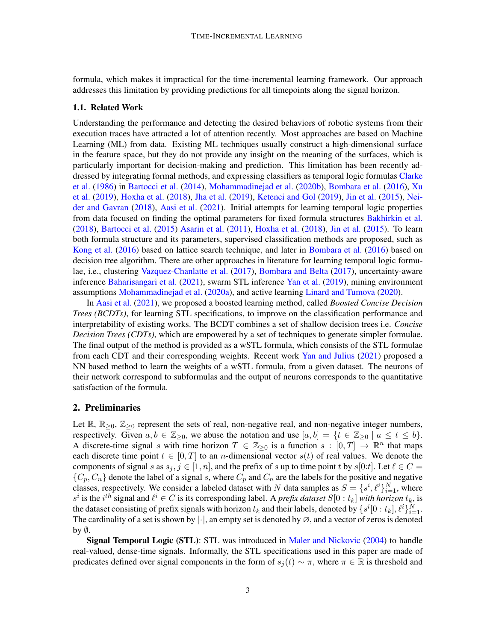formula, which makes it impractical for the time-incremental learning framework. Our approach addresses this limitation by providing predictions for all timepoints along the signal horizon.

## 1.1. Related Work

Understanding the performance and detecting the desired behaviors of robotic systems from their execution traces have attracted a lot of attention recently. Most approaches are based on Machine Learning (ML) from data. Existing ML techniques usually construct a high-dimensional surface in the feature space, but they do not provide any insight on the meaning of the surfaces, which is particularly important for decision-making and prediction. This limitation has been recently addressed by integrating formal methods, and expressing classifiers as temporal logic formulas [Clarke](#page-10-1) [et al.](#page-10-1) [\(1986\)](#page-10-1) in [Bartocci et al.](#page-10-2) [\(2014\)](#page-10-2), [Mohammadinejad et al.](#page-11-3) [\(2020b\)](#page-11-3), [Bombara et al.](#page-10-3) [\(2016\)](#page-10-3), [Xu](#page-12-1) [et al.](#page-12-1) [\(2019\)](#page-12-1), [Hoxha et al.](#page-11-4) [\(2018\)](#page-11-4), [Jha et al.](#page-11-5) [\(2019\)](#page-11-5), [Ketenci and Gol](#page-11-6) [\(2019\)](#page-11-6), [Jin et al.](#page-11-7) [\(2015\)](#page-11-7), [Nei](#page-11-8)[der and Gavran](#page-11-8) [\(2018\)](#page-11-8), [Aasi et al.](#page-10-4) [\(2021\)](#page-10-4). Initial attempts for learning temporal logic properties from data focused on finding the optimal parameters for fixed formula structures [Bakhirkin et al.](#page-10-5) [\(2018\)](#page-10-5), [Bartocci et al.](#page-10-6) [\(2015\)](#page-10-6) [Asarin et al.](#page-10-7) [\(2011\)](#page-10-7), [Hoxha et al.](#page-11-4) [\(2018\)](#page-11-4), [Jin et al.](#page-11-7) [\(2015\)](#page-11-7). To learn both formula structure and its parameters, supervised classification methods are proposed, such as [Kong et al.](#page-11-9) [\(2016\)](#page-11-9) based on lattice search technique, and later in [Bombara et al.](#page-10-3) [\(2016\)](#page-10-3) based on decision tree algorithm. There are other approaches in literature for learning temporal logic formulae, i.e., clustering [Vazquez-Chanlatte et al.](#page-11-10) [\(2017\)](#page-11-10), [Bombara and Belta](#page-10-8) [\(2017\)](#page-10-8), uncertainty-aware inference [Baharisangari et al.](#page-10-9) [\(2021\)](#page-10-9), swarm STL inference [Yan et al.](#page-12-2) [\(2019\)](#page-12-2), mining environment assumptions [Mohammadinejad et al.](#page-11-11) [\(2020a\)](#page-11-11), and active learning [Linard and Tumova](#page-11-12) [\(2020\)](#page-11-12).

In [Aasi et al.](#page-10-4) [\(2021\)](#page-10-4), we proposed a boosted learning method, called *Boosted Concise Decision Trees (BCDTs)*, for learning STL specifications, to improve on the classification performance and interpretability of existing works. The BCDT combines a set of shallow decision trees i.e. *Concise Decision Trees (CDTs)*, which are empowered by a set of techniques to generate simpler formulae. The final output of the method is provided as a wSTL formula, which consists of the STL formulae from each CDT and their corresponding weights. Recent work [Yan and Julius](#page-12-3) [\(2021\)](#page-12-3) proposed a NN based method to learn the weights of a wSTL formula, from a given dataset. The neurons of their network correspond to subformulas and the output of neurons corresponds to the quantitative satisfaction of the formula.

### 2. Preliminaries

Let  $\mathbb{R}, \mathbb{R}_{\geq 0}, \mathbb{Z}_{\geq 0}$  represent the sets of real, non-negative real, and non-negative integer numbers, respectively. Given  $a, b \in \mathbb{Z}_{\geq 0}$ , we abuse the notation and use  $[a, b] = \{t \in \mathbb{Z}_{\geq 0} \mid a \leq t \leq b\}.$ A discrete-time signal s with time horizon  $T \in \mathbb{Z}_{\geq 0}$  is a function  $s : [0, T] \to \mathbb{R}^n$  that maps each discrete time point  $t \in [0, T]$  to an *n*-dimensional vector  $s(t)$  of real values. We denote the components of signal s as  $s_j, j \in [1, n]$ , and the prefix of s up to time point t by  $s[0:t]$ . Let  $\ell \in C$  =  ${C_p, C_n}$  denote the label of a signal s, where  $C_p$  and  $C_n$  are the labels for the positive and negative classes, respectively. We consider a labeled dataset with N data samples as  $S = \{s^i, \ell^i\}_{i=1}^N$ , where  $s^i$  is the  $i^{th}$  signal and  $\ell^i \in C$  is its corresponding label. A *prefix dataset*  $S[0:t_k]$  *with horizon*  $t_k$ , is the dataset consisting of prefix signals with horizon  $t_k$  and their labels, denoted by  $\{s^i[0:t_k], \ell^i\}_{i=1}^N$ . The cardinality of a set is shown by  $|\cdot|$ , an empty set is denoted by  $\varnothing$ , and a vector of zeros is denoted by  $\emptyset$ .

Signal Temporal Logic (STL): STL was introduced in [Maler and Nickovic](#page-11-0) [\(2004\)](#page-11-0) to handle real-valued, dense-time signals. Informally, the STL specifications used in this paper are made of predicates defined over signal components in the form of  $s_i(t) \sim \pi$ , where  $\pi \in \mathbb{R}$  is threshold and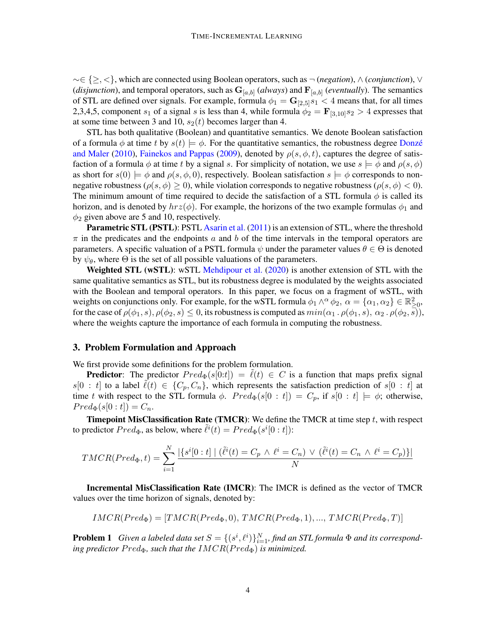∼∈ {≥, <}, which are connected using Boolean operators, such as ¬ (*negation*), ∧ (*conjunction*), ∨ (*disjunction*), and temporal operators, such as  $G_{[a,b]}$  (*always*) and  $F_{[a,b]}$  (*eventually*). The semantics of STL are defined over signals. For example, formula  $\phi_1 = \mathbf{G}_{[2,5]}s_1 < 4$  means that, for all times 2,3,4,5, component  $s_1$  of a signal s is less than 4, while formula  $\phi_2 = \mathbf{F}_{[3,10]}s_2 > 4$  expresses that at some time between 3 and 10,  $s_2(t)$  becomes larger than 4.

STL has both qualitative (Boolean) and quantitative semantics. We denote Boolean satisfaction of a formula  $\phi$  at time t by  $s(t) \models \phi$ . For the quantitative semantics, the robustness degree Donze [and Maler](#page-10-10) [\(2010\)](#page-10-10), [Fainekos and Pappas](#page-10-11) [\(2009\)](#page-10-11), denoted by  $\rho(s, \phi, t)$ , captures the degree of satisfaction of a formula  $\phi$  at time t by a signal s. For simplicity of notation, we use  $s \models \phi$  and  $\rho(s, \phi)$ as short for  $s(0) \models \phi$  and  $\rho(s, \phi, 0)$ , respectively. Boolean satisfaction  $s \models \phi$  corresponds to nonnegative robustness ( $\rho(s, \phi) \geq 0$ ), while violation corresponds to negative robustness ( $\rho(s, \phi) < 0$ ). The minimum amount of time required to decide the satisfaction of a STL formula  $\phi$  is called its horizon, and is denoted by  $hrz(\phi)$ . For example, the horizons of the two example formulas  $\phi_1$  and  $\phi_2$  given above are 5 and 10, respectively.

Parametric STL (PSTL): PSTL [Asarin et al.](#page-10-7) [\(2011\)](#page-10-7) is an extension of STL, where the threshold  $\pi$  in the predicates and the endpoints a and b of the time intervals in the temporal operators are parameters. A specific valuation of a PSTL formula  $\psi$  under the parameter values  $\theta \in \Theta$  is denoted by  $\psi_{\theta}$ , where  $\Theta$  is the set of all possible valuations of the parameters.

**Weighted STL (wSTL):** wSTL [Mehdipour et al.](#page-11-2) [\(2020\)](#page-11-2) is another extension of STL with the same qualitative semantics as STL, but its robustness degree is modulated by the weights associated with the Boolean and temporal operators. In this paper, we focus on a fragment of wSTL, with weights on conjunctions only. For example, for the wSTL formula  $\phi_1 \wedge^{\alpha} \phi_2$ ,  $\alpha = {\alpha_1, \alpha_2} \in \mathbb{R}^2_{\geq 0}$ , for the case of  $\rho(\phi_1, s), \rho(\phi_2, s) \leq 0$ , its robustness is computed as  $min(\alpha_1 \cdot \rho(\phi_1, s), \alpha_2 \cdot \rho(\phi_2, \overline{s})),$ where the weights capture the importance of each formula in computing the robustness.

## 3. Problem Formulation and Approach

We first provide some definitions for the problem formulation.

**Predictor:** The predictor  $Pred_{\Phi}(s[0:t]) = \ell(t) \in C$  is a function that maps prefix signal  $s[0 : t]$  to a label  $\ell(t) \in \{C_p, C_n\}$ , which represents the satisfaction prediction of  $s[0 : t]$  at time t with respect to the STL formula  $\phi$ .  $Pred_{\Phi}(s[0 : t]) = C_p$ , if  $s[0 : t] \models \phi$ ; otherwise,  $Pred_{\Phi}(s[0:t]) = C_n.$ 

**Timepoint MisClassification Rate (TMCR):** We define the TMCR at time step  $t$ , with respect to predictor  $Pred_{\Phi}$ , as below, where  $\tilde{\ell}^{i}(t) = Pred_{\Phi}(s^{i}[0:t])$ :

$$
TMCR(Pred_{\Phi}, t) = \sum_{i=1}^{N} \frac{|\{s^{i}[0:t] \mid (\tilde{\ell}^{i}(t) = C_{p} \land \ell^{i} = C_{n}) \lor (\tilde{\ell}^{i}(t) = C_{n} \land \ell^{i} = C_{p})\}|}{N}
$$

Incremental MisClassification Rate (IMCR): The IMCR is defined as the vector of TMCR values over the time horizon of signals, denoted by:

$$
IMCR(Pred_{\Phi}) = [TMCR(Pred_{\Phi}, 0), TMCR(Pred_{\Phi}, 1), ..., TMCR(Pred_{\Phi}, T)]
$$

<span id="page-3-0"></span>**Problem 1** Given a labeled data set  $S = \{(s^i, \ell^i)\}_{i=1}^N$ , find an STL formula  $\Phi$  and its correspond*ing predictor*  $Pred_{\Phi}$ *, such that the*  $IMCR(Pred_{\Phi})$  *is minimized.*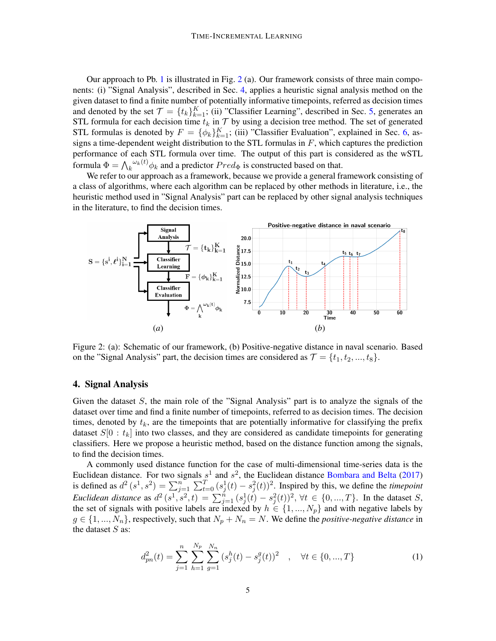Our approach to Pb. [1](#page-3-0) is illustrated in Fig. [2](#page-4-0) (a). Our framework consists of three main components: (i) "Signal Analysis", described in Sec. [4,](#page-4-1) applies a heuristic signal analysis method on the given dataset to find a finite number of potentially informative timepoints, referred as decision times and denoted by the set  $\mathcal{T} = \{t_k\}_{k=1}^K$ ; (ii) "Classifier Learning", described in Sec. [5,](#page-5-0) generates an STL formula for each decision time  $t_k$  in  $\mathcal T$  by using a decision tree method. The set of generated STL formulas is denoted by  $F = {\phi_k}_{k=1}^K$ ; (iii) "Classifier Evaluation", explained in Sec. [6,](#page-6-0) assigns a time-dependent weight distribution to the STL formulas in  $F$ , which captures the prediction performance of each STL formula over time. The output of this part is considered as the wSTL formula  $\Phi = \bigwedge_k \omega_k(t) \phi_k$  and a predictor  $Pred_{\Phi}$  is constructed based on that.

We refer to our approach as a framework, because we provide a general framework consisting of a class of algorithms, where each algorithm can be replaced by other methods in literature, i.e., the heuristic method used in "Signal Analysis" part can be replaced by other signal analysis techniques in the literature, to find the decision times.

<span id="page-4-0"></span>

Figure 2: (a): Schematic of our framework, (b) Positive-negative distance in naval scenario. Based on the "Signal Analysis" part, the decision times are considered as  $\mathcal{T} = \{t_1, t_2, ..., t_8\}$ .

### <span id="page-4-1"></span>4. Signal Analysis

Given the dataset  $S$ , the main role of the "Signal Analysis" part is to analyze the signals of the dataset over time and find a finite number of timepoints, referred to as decision times. The decision times, denoted by  $t_k$ , are the timepoints that are potentially informative for classifying the prefix dataset  $S[0 : t_k]$  into two classes, and they are considered as candidate timepoints for generating classifiers. Here we propose a heuristic method, based on the distance function among the signals, to find the decision times.

A commonly used distance function for the case of multi-dimensional time-series data is the Euclidean distance. For two signals  $s^1$  and  $s^2$ , the Euclidean distance [Bombara and Belta](#page-10-8) [\(2017\)](#page-10-8) is defined as  $d^2(s^1, s^2) = \sum_{j=1}^n \sum_{t=0}^T (s_j^1(t) - s_j^2(t))^2$ . Inspired by this, we define the *timepoint Euclidean distance* as  $d^2(s^1, s^2, t) = \sum_{j=1}^n (s_j^1(t) - s_j^2(t))^2$ ,  $\forall t \in \{0, ..., T\}$ . In the dataset S, the set of signals with positive labels are indexed by  $h \in \{1, ..., N_p\}$  and with negative labels by  $g \in \{1, ..., N_n\}$ , respectively, such that  $N_p + N_n = N$ . We define the *positive-negative distance* in the dataset  $S$  as:

<span id="page-4-2"></span>
$$
d_{pn}^2(t) = \sum_{j=1}^n \sum_{h=1}^{N_p} \sum_{g=1}^{N_n} (s_j^h(t) - s_j^g(t))^2 \quad , \quad \forall t \in \{0, ..., T\}
$$
 (1)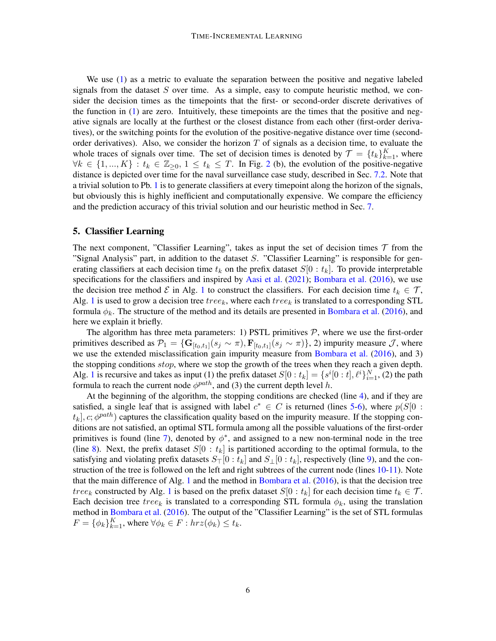We use [\(1\)](#page-4-2) as a metric to evaluate the separation between the positive and negative labeled signals from the dataset  $S$  over time. As a simple, easy to compute heuristic method, we consider the decision times as the timepoints that the first- or second-order discrete derivatives of the function in [\(1\)](#page-4-2) are zero. Intuitively, these timepoints are the times that the positive and negative signals are locally at the furthest or the closest distance from each other (first-order derivatives), or the switching points for the evolution of the positive-negative distance over time (secondorder derivatives). Also, we consider the horizon  $T$  of signals as a decision time, to evaluate the whole traces of signals over time. The set of decision times is denoted by  $\mathcal{T} = \{t_k\}_{k=1}^K$ , where  $\forall k \in \{1, ..., K\} : t_k \in \mathbb{Z}_{\geq 0}, 1 \leq t_k \leq T$ . In Fig. [2](#page-4-0) (b), the evolution of the positive-negative distance is depicted over time for the naval surveillance case study, described in Sec. [7.2.](#page-9-0) Note that a trivial solution to Pb. [1](#page-3-0) is to generate classifiers at every timepoint along the horizon of the signals, but obviously this is highly inefficient and computationally expensive. We compare the efficiency and the prediction accuracy of this trivial solution and our heuristic method in Sec. [7.](#page-7-0)

## <span id="page-5-0"></span>5. Classifier Learning

The next component, "Classifier Learning", takes as input the set of decision times  $\tau$  from the "Signal Analysis" part, in addition to the dataset S. "Classifier Learning" is responsible for generating classifiers at each decision time  $t_k$  on the prefix dataset  $S[0 : t_k]$ . To provide interpretable specifications for the classifiers and inspired by [Aasi et al.](#page-10-4) [\(2021\)](#page-10-4); [Bombara et al.](#page-10-3) [\(2016\)](#page-10-3), we use the decision tree method  $\mathcal E$  in Alg. [1](#page-6-1) to construct the classifiers. For each decision time  $t_k \in \mathcal T$ , Alg. [1](#page-6-1) is used to grow a decision tree  $tree_k$ , where each  $tree_k$  is translated to a corresponding STL formula  $\phi_k$ . The structure of the method and its details are presented in [Bombara et al.](#page-10-3) [\(2016\)](#page-10-3), and here we explain it briefly.

The algorithm has three meta parameters: 1) PSTL primitives  $P$ , where we use the first-order primitives described as  $\mathcal{P}_1 = \{ \mathbf{G}_{[t_0,t_1]}(s_j \sim \pi), \mathbf{F}_{[t_0,t_1]}(s_j \sim \pi) \}$ , 2) impurity measure  $\mathcal{J}$ , where we use the extended misclassification gain impurity measure from [Bombara et al.](#page-10-3) [\(2016\)](#page-10-3), and 3) the stopping conditions *stop*, where we stop the growth of the trees when they reach a given depth. Alg. [1](#page-6-1) is recursive and takes as input (1) the prefix dataset  $S[0:t_k] = \{s^i[0:t], \ell^i\}_{i=1}^N$ , (2) the path formula to reach the current node  $\phi^{path}$ , and (3) the current depth level h.

At the beginning of the algorithm, the stopping conditions are checked (line [4\)](#page-6-1), and if they are satisfied, a single leaf that is assigned with label  $c^* \in C$  is returned (lines [5-6\)](#page-6-1), where  $p(S|0:$  $[t_k]$ ,  $c$ ;  $\phi^{path}$ ) captures the classification quality based on the impurity measure. If the stopping conditions are not satisfied, an optimal STL formula among all the possible valuations of the first-order primitives is found (line [7\)](#page-6-1), denoted by  $\phi^*$ , and assigned to a new non-terminal node in the tree (line [8\)](#page-6-1). Next, the prefix dataset  $S[0 : t_k]$  is partitioned according to the optimal formula, to the satisfying and violating prefix datasets  $S_{\perp}[0 : t_k]$  and  $S_{\perp}[0 : t_k]$ , respectively (line [9\)](#page-6-1), and the construction of the tree is followed on the left and right subtrees of the current node (lines [10-11\)](#page-6-1). Note that the main difference of Alg. [1](#page-6-1) and the method in [Bombara et al.](#page-10-3) [\(2016\)](#page-10-3), is that the decision tree tree<sub>k</sub> constructed by Alg. [1](#page-6-1) is based on the prefix dataset  $S[0:t_k]$  for each decision time  $t_k \in \mathcal{T}$ . Each decision tree tree<sub>k</sub> is translated to a corresponding STL formula  $\phi_k$ , using the translation method in [Bombara et al.](#page-10-3) [\(2016\)](#page-10-3). The output of the "Classifier Learning" is the set of STL formulas  $F = {\phi_k}_{k=1}^K$ , where  $\forall \phi_k \in F : hrz(\phi_k) \leq t_k$ .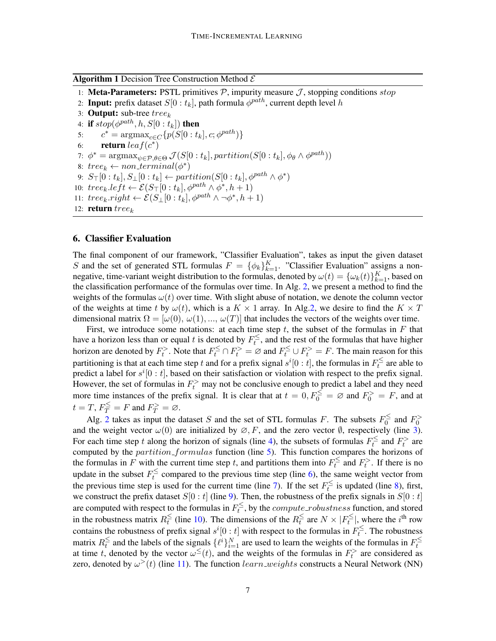<span id="page-6-1"></span>**Algorithm 1** Decision Tree Construction Method  $\mathcal{E}$ 

- 1: Meta-Parameters: PSTL primitives  $P$ , impurity measure  $J$ , stopping conditions stop
- 2: Input: prefix dataset  $S[0:t_k],$  path formula  $\phi^{path}$ , current depth level  $h$
- 3: **Output:** sub-tree  $tree_k$
- 4: if  $stop(\phi^{path}, h, S[0:t_k])$  then 5:  $c^* = \text{argmax}_{c \in C} \{ p(S[0 : t_k], c; \phi^{path}) \}$
- 6: return  $leaf(c^*)$ 7:  $\phi^* = \operatorname{argmax}_{\psi \in \mathcal{P}, \theta \in \Theta} \mathcal{J}(S[0:t_k], partition(S[0:t_k], \phi_\theta \land \phi^{path}))$
- 8:  $tree_k \leftarrow non-terminal(\phi^*)$
- 9:  $S_{\top}[0 : t_k], S_{\perp}[0 : t_k] \leftarrow partition(S[0 : t_k], \phi^{path} \wedge \phi^*)$
- 10:  $tree_k.left \leftarrow \mathcal{E}(S_{\top}[0:t_k], \phi^{path} \wedge \phi^*, h+1)$
- 11:  $tree_k.right \leftarrow \mathcal{E}(S_\perp[0:t_k], \phi^{path} \wedge \neg \phi^*, h+1)$
- 12: return  $tree_k$

### <span id="page-6-0"></span>6. Classifier Evaluation

The final component of our framework, "Classifier Evaluation", takes as input the given dataset S and the set of generated STL formulas  $F = {\phi_k}_{k=1}^K$ . "Classifier Evaluation" assigns a nonnegative, time-variant weight distribution to the formulas, denoted by  $\omega(t) = {\{\omega_k(t)\}}_{k=1}^K$ , based on the classification performance of the formulas over time. In Alg. [2,](#page-7-1) we present a method to find the weights of the formulas  $\omega(t)$  over time. With slight abuse of notation, we denote the column vector of the weights at time t by  $\omega(t)$ , which is a  $K \times 1$  array. In Alg[.2,](#page-7-1) we desire to find the  $K \times T$ dimensional matrix  $\Omega = [\omega(0), \omega(1), ..., \omega(T)]$  that includes the vectors of the weights over time.

First, we introduce some notations: at each time step  $t$ , the subset of the formulas in  $F$  that have a horizon less than or equal t is denoted by  $F_t^{\leq}$  $t_t^{\leq}$ , and the rest of the formulas that have higher horizon are denoted by  $F_t^>$ . Note that  $F_t^{\leq} \cap F_t^> = \emptyset$  and  $F_t^{\leq} \cup F_t^> = F$ . The main reason for this partitioning is that at each time step t and for a prefix signal  $s^i[0:t]$ , the formulas in  $F_t^{\leq}$  $t<sub>t</sub>$  are able to predict a label for  $s^i[0:t]$ , based on their satisfaction or violation with respect to the prefix signal. However, the set of formulas in  $F_t^$  may not be conclusive enough to predict a label and they need more time instances of the prefix signal. It is clear that at  $t = 0, F_0^{\leq} = \emptyset$  and  $F_0^{\geq} = F$ , and at  $t = T$ ,  $F_T^{\leq} = F$  and  $F_T^{\geq} = \varnothing$ .

Alg. [2](#page-7-1) takes as input the dataset S and the set of STL formulas F. The subsets  $F_0^{\leq}$  $V_0^{\le}$  and  $F_0^>$ and the weight vector  $\omega(0)$  are initialized by  $\varnothing, F$ , and the zero vector  $\emptyset$ , respectively (line [3\)](#page-7-1). For each time step t along the horizon of signals (line [4\)](#page-7-1), the subsets of formulas  $F_t^{\leq}$  $t_t^{\le}$  and  $F_t^>$  are computed by the *partition\_formulas* function (line [5\)](#page-7-1). This function compares the horizons of the formulas in F with the current time step t, and partitions them into  $F_t^{\leq}$  $t_t^{\le}$  and  $F_t^>$ . If there is no update in the subset  $F_t^{\leq}$  $t_t^{\leq}$  compared to the previous time step (line [6\)](#page-7-1), the same weight vector from the previous time step is used for the current time (line [7\)](#page-7-1). If the set  $F_t^{\leq}$  $t_i^{\leq}$  is updated (line [8\)](#page-7-1), first, we construct the prefix dataset  $S[0 : t]$  (line [9\)](#page-7-1). Then, the robustness of the prefix signals in  $S[0 : t]$ are computed with respect to the formulas in  $F_t^{\leq}$  $t_t^{\leq}$ , by the *compute\_robustness* function, and stored in the robustness matrix  $R_t^{\leq}$  $t_t^{\leq}$  (line [10\)](#page-7-1). The dimensions of the  $R_t^{\leq}$  $\frac{\leq}{t}$  are  $N \times |F_t^{\leq}$  $t_l^{\leq}$ , where the  $i^{\text{th}}$  row contains the robustness of prefix signal  $s^i[0:t]$  with respect to the formulas in  $F_t^{\leq}$  $t^2$ . The robustness matrix  $R_t^{\leq}$  $\frac{1}{t}$  and the labels of the signals  $\{\ell^i\}_{i=1}^N$  are used to learn the weights of the formulas in  $F_t^{\leq}$ that time t, denoted by the vector  $\omega^{\leq}(t)$ , and the weights of the formulas in  $F_t^{\geq}$  are considered as zero, denoted by  $\omega^>(t)$  (line [11\)](#page-7-1). The function  $learn\_weights$  constructs a Neural Network (NN)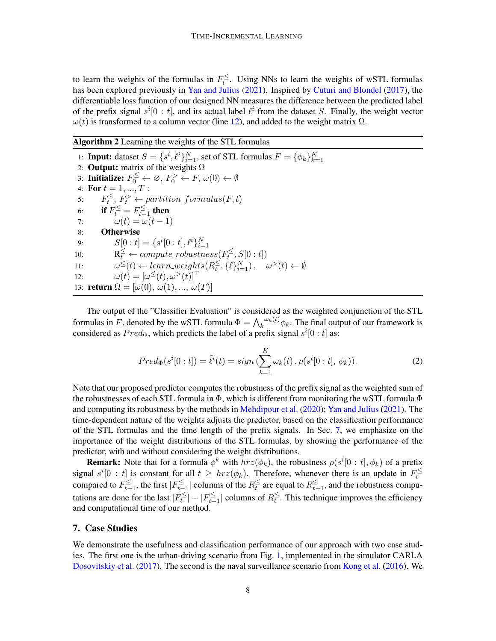to learn the weights of the formulas in  $F_t^{\leq}$  $t_t^{\geq}$ . Using NNs to learn the weights of wSTL formulas has been explored previously in [Yan and Julius](#page-12-3) [\(2021\)](#page-12-3). Inspired by [Cuturi and Blondel](#page-10-12) [\(2017\)](#page-10-12), the differentiable loss function of our designed NN measures the difference between the predicted label of the prefix signal  $s^i[0:t]$ , and its actual label  $\ell^i$  from the dataset S. Finally, the weight vector  $\omega(t)$  is transformed to a column vector (line [12\)](#page-7-1), and added to the weight matrix  $\Omega$ .

<span id="page-7-1"></span>Algorithm 2 Learning the weights of the STL formulas

1: **Input:** dataset  $S = \{s^i, \ell^i\}_{i=1}^N$ , set of STL formulas  $F = \{\phi_k\}_{k=1}^K$ 2: **Output:** matrix of the weights  $\Omega$ 3: Initialize:  $F_0^{\leq} \leftarrow \varnothing, F_0^{\geq} \leftarrow F, \omega(0) \leftarrow \emptyset$ 4: For  $t = 1, ..., T$  : 5:  $F_t^{\leq}$  $t^{\leq}, F_t^{\geq} \leftarrow$  partition\_formulas(F, t) 6: **if**  $F_t^{\leq} = F_{t-}^{\leq}$ ' $\sum\limits_{t=1}^{\infty}$  then 7:  $\omega(t) = \omega(t-1)$ 8: Otherwise 9:  $S[0:t] = \{s^i[0:t], \ell^i\}_{i=1}^N$  $i=1$ 10:  $R_t^{\leq} \leftarrow compute\_robustness(F_t^{\leq})$  $t_t^{\geq}, S[0:t])$ 11:  $\omega^{\leq}(t) \leftarrow learn\_weights(R_t^{\leq})$  $\sum_{t}^{5}$ , { $\ell$ } $_{i=1}^{N}$ ,  $\omega$ <sup>></sup> $(t) \leftarrow \emptyset$ 12:  $\omega(t) = [\omega^{\leq}(t), \omega^{>}(t)]^{\top}$ 13: **return**  $\Omega = [\omega(0), \omega(1), ..., \omega(T)]$ 

The output of the "Classifier Evaluation" is considered as the weighted conjunction of the STL formulas in F, denoted by the wSTL formula  $\Phi = \bigwedge_k \omega_k(t) \phi_k$ . The final output of our framework is considered as  $Pred_{\Phi}$ , which predicts the label of a prefix signal  $s^{i}[0:t]$  as:

$$
Pred_{\Phi}(s^{i}[0:t]) = \tilde{\ell}^{i}(t) = sign\left(\sum_{k=1}^{K} \omega_{k}(t) \cdot \rho(s^{i}[0:t], \phi_{k})\right). \tag{2}
$$

Note that our proposed predictor computes the robustness of the prefix signal as the weighted sum of the robustnesses of each STL formula in  $\Phi$ , which is different from monitoring the wSTL formula  $\Phi$ and computing its robustness by the methods in [Mehdipour et al.](#page-11-2) [\(2020\)](#page-11-2); [Yan and Julius](#page-12-3) [\(2021\)](#page-12-3). The time-dependent nature of the weights adjusts the predictor, based on the classification performance of the STL formulas and the time length of the prefix signals. In Sec. [7,](#page-7-0) we emphasize on the importance of the weight distributions of the STL formulas, by showing the performance of the predictor, with and without considering the weight distributions.

**Remark:** Note that for a formula  $\phi^k$  with  $hrz(\phi_k)$ , the robustness  $\rho(s^i[0:t], \phi_k)$  of a prefix signal  $s^i[0:t]$  is constant for all  $t \geq hrz(\phi_k)$ . Therefore, whenever there is an update in  $F_t^{\leq}$ t compared to  $F_{t-}^{\leq}$  $\sum_{t=1}^{t}$ , the first  $|F_{t-}^{\leq}$  $\sum_{t=1}^{5}$ | columns of the  $R_t^{\leq}$  $\frac{\le}{t}$  are equal to  $R_{t-}^{\le}$  $\sum_{t=1}^{\infty}$ , and the robustness computations are done for the last  $|F_t^{\leq}$  $|t_t^{\leq}| - |F_{t-}^{\leq}$  $\sum_{t=1}^{5}$ | columns of  $R_t^{\leq}$  $\sum_{t=1}^{\infty}$ . This technique improves the efficiency and computational time of our method.

## <span id="page-7-0"></span>7. Case Studies

We demonstrate the usefulness and classification performance of our approach with two case studies. The first one is the urban-driving scenario from Fig. [1,](#page-1-0) implemented in the simulator CARLA [Dosovitskiy et al.](#page-10-13) [\(2017\)](#page-10-13). The second is the naval surveillance scenario from [Kong et al.](#page-11-9) [\(2016\)](#page-11-9). We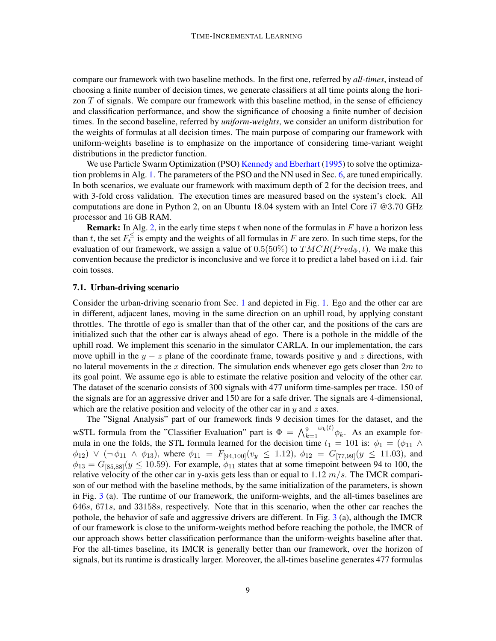compare our framework with two baseline methods. In the first one, referred by *all-times*, instead of choosing a finite number of decision times, we generate classifiers at all time points along the horizon  $T$  of signals. We compare our framework with this baseline method, in the sense of efficiency and classification performance, and show the significance of choosing a finite number of decision times. In the second baseline, referred by *uniform-weights*, we consider an uniform distribution for the weights of formulas at all decision times. The main purpose of comparing our framework with uniform-weights baseline is to emphasize on the importance of considering time-variant weight distributions in the predictor function.

We use Particle Swarm Optimization (PSO) [Kennedy and Eberhart](#page-11-13) [\(1995\)](#page-11-13) to solve the optimization problems in Alg. [1.](#page-6-1) The parameters of the PSO and the NN used in Sec. [6,](#page-6-0) are tuned empirically. In both scenarios, we evaluate our framework with maximum depth of 2 for the decision trees, and with 3-fold cross validation. The execution times are measured based on the system's clock. All computations are done in Python 2, on an Ubuntu 18.04 system with an Intel Core i7 @3.70 GHz processor and 16 GB RAM.

**Remark:** In Alg. [2,](#page-7-1) in the early time steps t when none of the formulas in F have a horizon less than t, the set  $F_t^{\leq}$  $t_t^{\leq}$  is empty and the weights of all formulas in F are zero. In such time steps, for the evaluation of our framework, we assign a value of  $0.5(50\%)$  to  $TMCR(Pred_{\Phi}, t)$ . We make this convention because the predictor is inconclusive and we force it to predict a label based on i.i.d. fair coin tosses.

### 7.1. Urban-driving scenario

Consider the urban-driving scenario from Sec. [1](#page-0-1) and depicted in Fig. [1.](#page-1-0) Ego and the other car are in different, adjacent lanes, moving in the same direction on an uphill road, by applying constant throttles. The throttle of ego is smaller than that of the other car, and the positions of the cars are initialized such that the other car is always ahead of ego. There is a pothole in the middle of the uphill road. We implement this scenario in the simulator CARLA. In our implementation, the cars move uphill in the  $y - z$  plane of the coordinate frame, towards positive y and z directions, with no lateral movements in the x direction. The simulation ends whenever ego gets closer than  $2m$  to its goal point. We assume ego is able to estimate the relative position and velocity of the other car. The dataset of the scenario consists of 300 signals with 477 uniform time-samples per trace. 150 of the signals are for an aggressive driver and 150 are for a safe driver. The signals are 4-dimensional, which are the relative position and velocity of the other car in  $y$  and  $z$  axes.

The "Signal Analysis" part of our framework finds 9 decision times for the dataset, and the wSTL formula from the "Classifier Evaluation" part is  $\Phi = \bigwedge_{k=1}^{9}$  $\omega_k(t)$   $\phi_k$ . As an example formula in one the folds, the STL formula learned for the decision time  $t_1 = 101$  is:  $\phi_1 = (\phi_{11} \land$  $\phi_{12}) \vee (\neg \phi_{11} \wedge \phi_{13})$ , where  $\phi_{11} = F_{[94,100]}(v_y \le 1.12)$ ,  $\phi_{12} = G_{[77,99]}(y \le 11.03)$ , and  $\phi_{13} = G_{[85,88]}(y \le 10.59)$ . For example,  $\phi_{11}$  states that at some timepoint between 94 to 100, the relative velocity of the other car in y-axis gets less than or equal to  $1.12 \, m/s$ . The IMCR comparison of our method with the baseline methods, by the same initialization of the parameters, is shown in Fig. [3](#page-9-1) (a). The runtime of our framework, the uniform-weights, and the all-times baselines are 646s, 671s, and 33158s, respectively. Note that in this scenario, when the other car reaches the pothole, the behavior of safe and aggressive drivers are different. In Fig. [3](#page-9-1) (a), although the IMCR of our framework is close to the uniform-weights method before reaching the pothole, the IMCR of our approach shows better classification performance than the uniform-weights baseline after that. For the all-times baseline, its IMCR is generally better than our framework, over the horizon of signals, but its runtime is drastically larger. Moreover, the all-times baseline generates 477 formulas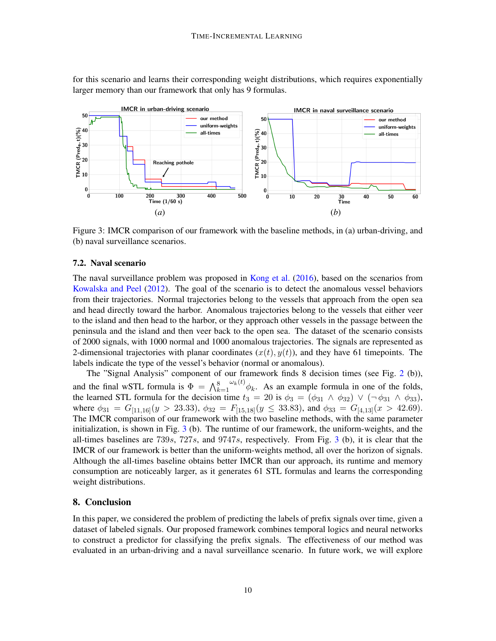for this scenario and learns their corresponding weight distributions, which requires exponentially larger memory than our framework that only has 9 formulas.

<span id="page-9-1"></span>

Figure 3: IMCR comparison of our framework with the baseline methods, in (a) urban-driving, and (b) naval surveillance scenarios.

### <span id="page-9-0"></span>7.2. Naval scenario

The naval surveillance problem was proposed in [Kong et al.](#page-11-9) [\(2016\)](#page-11-9), based on the scenarios from [Kowalska and Peel](#page-11-14) [\(2012\)](#page-11-14). The goal of the scenario is to detect the anomalous vessel behaviors from their trajectories. Normal trajectories belong to the vessels that approach from the open sea and head directly toward the harbor. Anomalous trajectories belong to the vessels that either veer to the island and then head to the harbor, or they approach other vessels in the passage between the peninsula and the island and then veer back to the open sea. The dataset of the scenario consists of 2000 signals, with 1000 normal and 1000 anomalous trajectories. The signals are represented as 2-dimensional trajectories with planar coordinates  $(x(t), y(t))$ , and they have 61 timepoints. The labels indicate the type of the vessel's behavior (normal or anomalous).

The "Signal Analysis" component of our framework finds 8 decision times (see Fig. [2](#page-4-0) (b)), and the final wSTL formula is  $\Phi = \bigwedge_{k=1}^{8}$  $\omega_k(t)$   $\phi_k$ . As an example formula in one of the folds, the learned STL formula for the decision time  $t_3 = 20$  is  $\phi_3 = (\phi_{31} \wedge \phi_{32}) \vee (\neg \phi_{31} \wedge \phi_{33})$ , where  $\phi_{31} = G_{[11,16]}(y > 23.33), \ \phi_{32} = F_{[15,18]}(y \leq 33.83), \$  and  $\phi_{33} = G_{[4,13]}(x > 42.69).$ The IMCR comparison of our framework with the two baseline methods, with the same parameter initialization, is shown in Fig.  $3$  (b). The runtime of our framework, the uniform-weights, and the all-times baselines are  $739s$  $739s$  $739s$ ,  $727s$ , and  $9747s$ , respectively. From Fig. 3 (b), it is clear that the IMCR of our framework is better than the uniform-weights method, all over the horizon of signals. Although the all-times baseline obtains better IMCR than our approach, its runtime and memory consumption are noticeably larger, as it generates 61 STL formulas and learns the corresponding weight distributions.

### 8. Conclusion

In this paper, we considered the problem of predicting the labels of prefix signals over time, given a dataset of labeled signals. Our proposed framework combines temporal logics and neural networks to construct a predictor for classifying the prefix signals. The effectiveness of our method was evaluated in an urban-driving and a naval surveillance scenario. In future work, we will explore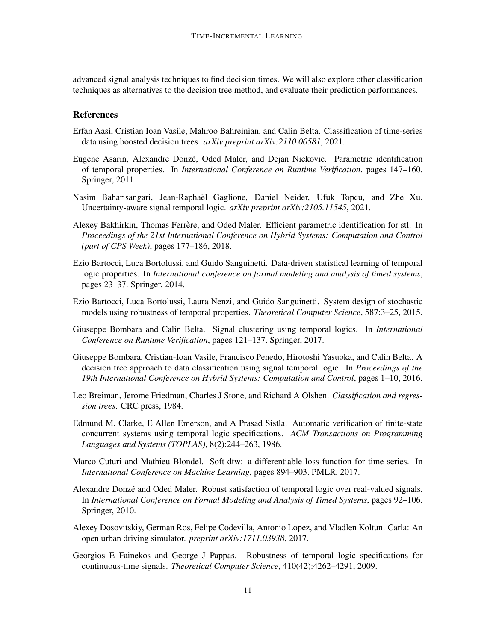advanced signal analysis techniques to find decision times. We will also explore other classification techniques as alternatives to the decision tree method, and evaluate their prediction performances.

## References

- <span id="page-10-4"></span>Erfan Aasi, Cristian Ioan Vasile, Mahroo Bahreinian, and Calin Belta. Classification of time-series data using boosted decision trees. *arXiv preprint arXiv:2110.00581*, 2021.
- <span id="page-10-7"></span>Eugene Asarin, Alexandre Donze, Oded Maler, and Dejan Nickovic. Parametric identification ´ of temporal properties. In *International Conference on Runtime Verification*, pages 147–160. Springer, 2011.
- <span id="page-10-9"></span>Nasim Baharisangari, Jean-Raphael Gaglione, Daniel Neider, Ufuk Topcu, and Zhe Xu. ¨ Uncertainty-aware signal temporal logic. *arXiv preprint arXiv:2105.11545*, 2021.
- <span id="page-10-5"></span>Alexey Bakhirkin, Thomas Ferrère, and Oded Maler. Efficient parametric identification for stl. In *Proceedings of the 21st International Conference on Hybrid Systems: Computation and Control (part of CPS Week)*, pages 177–186, 2018.
- <span id="page-10-2"></span>Ezio Bartocci, Luca Bortolussi, and Guido Sanguinetti. Data-driven statistical learning of temporal logic properties. In *International conference on formal modeling and analysis of timed systems*, pages 23–37. Springer, 2014.
- <span id="page-10-6"></span>Ezio Bartocci, Luca Bortolussi, Laura Nenzi, and Guido Sanguinetti. System design of stochastic models using robustness of temporal properties. *Theoretical Computer Science*, 587:3–25, 2015.
- <span id="page-10-8"></span>Giuseppe Bombara and Calin Belta. Signal clustering using temporal logics. In *International Conference on Runtime Verification*, pages 121–137. Springer, 2017.
- <span id="page-10-3"></span>Giuseppe Bombara, Cristian-Ioan Vasile, Francisco Penedo, Hirotoshi Yasuoka, and Calin Belta. A decision tree approach to data classification using signal temporal logic. In *Proceedings of the 19th International Conference on Hybrid Systems: Computation and Control*, pages 1–10, 2016.
- <span id="page-10-0"></span>Leo Breiman, Jerome Friedman, Charles J Stone, and Richard A Olshen. *Classification and regression trees*. CRC press, 1984.
- <span id="page-10-1"></span>Edmund M. Clarke, E Allen Emerson, and A Prasad Sistla. Automatic verification of finite-state concurrent systems using temporal logic specifications. *ACM Transactions on Programming Languages and Systems (TOPLAS)*, 8(2):244–263, 1986.
- <span id="page-10-12"></span>Marco Cuturi and Mathieu Blondel. Soft-dtw: a differentiable loss function for time-series. In *International Conference on Machine Learning*, pages 894–903. PMLR, 2017.
- <span id="page-10-10"></span>Alexandre Donze and Oded Maler. Robust satisfaction of temporal logic over real-valued signals. ´ In *International Conference on Formal Modeling and Analysis of Timed Systems*, pages 92–106. Springer, 2010.
- <span id="page-10-13"></span>Alexey Dosovitskiy, German Ros, Felipe Codevilla, Antonio Lopez, and Vladlen Koltun. Carla: An open urban driving simulator. *preprint arXiv:1711.03938*, 2017.
- <span id="page-10-11"></span>Georgios E Fainekos and George J Pappas. Robustness of temporal logic specifications for continuous-time signals. *Theoretical Computer Science*, 410(42):4262–4291, 2009.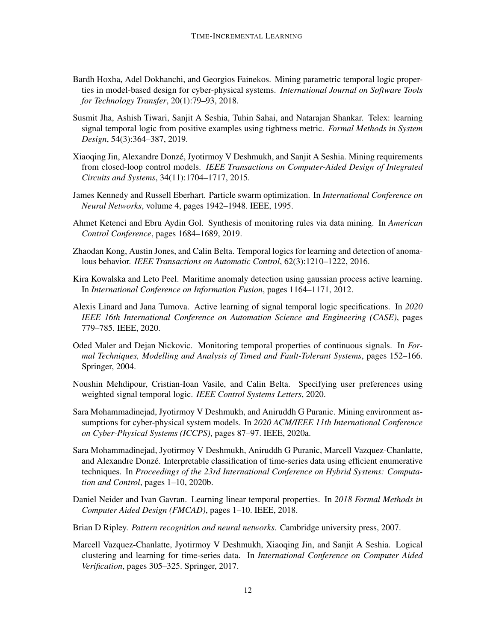- <span id="page-11-4"></span>Bardh Hoxha, Adel Dokhanchi, and Georgios Fainekos. Mining parametric temporal logic properties in model-based design for cyber-physical systems. *International Journal on Software Tools for Technology Transfer*, 20(1):79–93, 2018.
- <span id="page-11-5"></span>Susmit Jha, Ashish Tiwari, Sanjit A Seshia, Tuhin Sahai, and Natarajan Shankar. Telex: learning signal temporal logic from positive examples using tightness metric. *Formal Methods in System Design*, 54(3):364–387, 2019.
- <span id="page-11-7"></span>Xiaoqing Jin, Alexandre Donzé, Jyotirmoy V Deshmukh, and Sanjit A Seshia. Mining requirements from closed-loop control models. *IEEE Transactions on Computer-Aided Design of Integrated Circuits and Systems*, 34(11):1704–1717, 2015.
- <span id="page-11-13"></span>James Kennedy and Russell Eberhart. Particle swarm optimization. In *International Conference on Neural Networks*, volume 4, pages 1942–1948. IEEE, 1995.
- <span id="page-11-6"></span>Ahmet Ketenci and Ebru Aydin Gol. Synthesis of monitoring rules via data mining. In *American Control Conference*, pages 1684–1689, 2019.
- <span id="page-11-9"></span>Zhaodan Kong, Austin Jones, and Calin Belta. Temporal logics for learning and detection of anomalous behavior. *IEEE Transactions on Automatic Control*, 62(3):1210–1222, 2016.
- <span id="page-11-14"></span>Kira Kowalska and Leto Peel. Maritime anomaly detection using gaussian process active learning. In *International Conference on Information Fusion*, pages 1164–1171, 2012.
- <span id="page-11-12"></span>Alexis Linard and Jana Tumova. Active learning of signal temporal logic specifications. In *2020 IEEE 16th International Conference on Automation Science and Engineering (CASE)*, pages 779–785. IEEE, 2020.
- <span id="page-11-0"></span>Oded Maler and Dejan Nickovic. Monitoring temporal properties of continuous signals. In *Formal Techniques, Modelling and Analysis of Timed and Fault-Tolerant Systems*, pages 152–166. Springer, 2004.
- <span id="page-11-2"></span>Noushin Mehdipour, Cristian-Ioan Vasile, and Calin Belta. Specifying user preferences using weighted signal temporal logic. *IEEE Control Systems Letters*, 2020.
- <span id="page-11-11"></span>Sara Mohammadinejad, Jyotirmoy V Deshmukh, and Aniruddh G Puranic. Mining environment assumptions for cyber-physical system models. In *2020 ACM/IEEE 11th International Conference on Cyber-Physical Systems (ICCPS)*, pages 87–97. IEEE, 2020a.
- <span id="page-11-3"></span>Sara Mohammadinejad, Jyotirmoy V Deshmukh, Aniruddh G Puranic, Marcell Vazquez-Chanlatte, and Alexandre Donzé. Interpretable classification of time-series data using efficient enumerative techniques. In *Proceedings of the 23rd International Conference on Hybrid Systems: Computation and Control*, pages 1–10, 2020b.
- <span id="page-11-8"></span>Daniel Neider and Ivan Gavran. Learning linear temporal properties. In *2018 Formal Methods in Computer Aided Design (FMCAD)*, pages 1–10. IEEE, 2018.
- <span id="page-11-1"></span>Brian D Ripley. *Pattern recognition and neural networks*. Cambridge university press, 2007.
- <span id="page-11-10"></span>Marcell Vazquez-Chanlatte, Jyotirmoy V Deshmukh, Xiaoqing Jin, and Sanjit A Seshia. Logical clustering and learning for time-series data. In *International Conference on Computer Aided Verification*, pages 305–325. Springer, 2017.